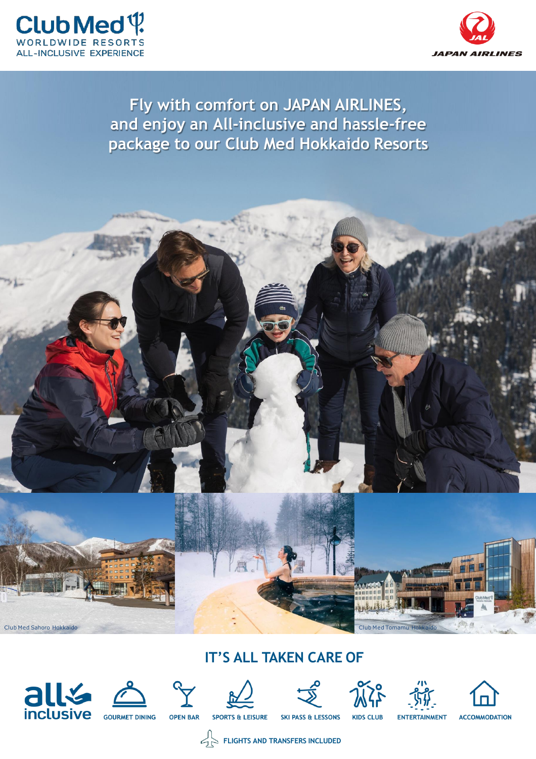



# **Fly with comfort on JAPAN AIRLINES, and enjoy an All-inclusive and hassle-free package to our Club Med Hokkaido Resorts**



# **IT'S ALL TAKEN CARE OF**













**FLIGHTS AND TRANSFERS INCLUDED**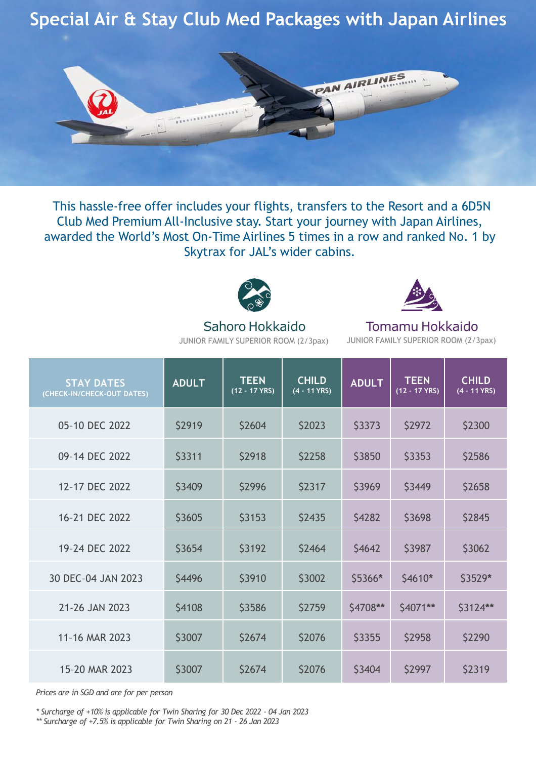# **Special Air & Stay Club Med Packages with Japan Airlines**



This hassle-free offer includes your flights, transfers to the Resort and a 6D5N Club Med Premium All-Inclusive stay. Start your journey with Japan Airlines, awarded the World's Most On-Time Airlines 5 times in a row and ranked No. 1 by Skytrax for JAL's wider cabins.



### Sahoro Hokkaido JUNIOR FAMILY SUPERIOR ROOM (2/3pax)

Tomamu Hokkaido JUNIOR FAMILY SUPERIOR ROOM (2/3pax)

| <b>STAY DATES</b><br>(CHECK-IN/CHECK-OUT DATES) | <b>ADULT</b> | <b>TEEN</b><br>$(12 - 17$ YRS) | <b>CHILD</b><br>(4 - 11 YRS) | <b>ADULT</b> | <b>TEEN</b><br>$(12 - 17$ YRS) | <b>CHILD</b><br>(4 - 11 YRS) |
|-------------------------------------------------|--------------|--------------------------------|------------------------------|--------------|--------------------------------|------------------------------|
| 05-10 DEC 2022                                  | \$2919       | \$2604                         | \$2023                       | \$3373       | \$2972                         | \$2300                       |
| 09-14 DEC 2022                                  | \$3311       | \$2918                         | \$2258                       | \$3850       | \$3353                         | \$2586                       |
| 12-17 DEC 2022                                  | \$3409       | \$2996                         | \$2317                       | \$3969       | \$3449                         | \$2658                       |
| 16-21 DEC 2022                                  | \$3605       | \$3153                         | \$2435                       | \$4282       | \$3698                         | \$2845                       |
| 19-24 DEC 2022                                  | \$3654       | \$3192                         | \$2464                       | \$4642       | \$3987                         | \$3062                       |
| 30 DEC-04 JAN 2023                              | \$4496       | \$3910                         | \$3002                       | \$5366*      | $$4610*$                       | \$3529*                      |
| 21-26 JAN 2023                                  | \$4108       | \$3586                         | \$2759                       | \$4708**     | \$4071**                       | \$3124**                     |
| 11-16 MAR 2023                                  | \$3007       | \$2674                         | \$2076                       | \$3355       | \$2958                         | \$2290                       |
| 15-20 MAR 2023                                  | \$3007       | \$2674                         | \$2076                       | \$3404       | \$2997                         | \$2319                       |

*Prices are in SGD and are for per person*

*\* Surcharge of +10% is applicable for Twin Sharing for 30 Dec 2022 - 04 Jan 2023*

*\*\* Surcharge of +7.5% is applicable for Twin Sharing on 21 - 26 Jan 2023*